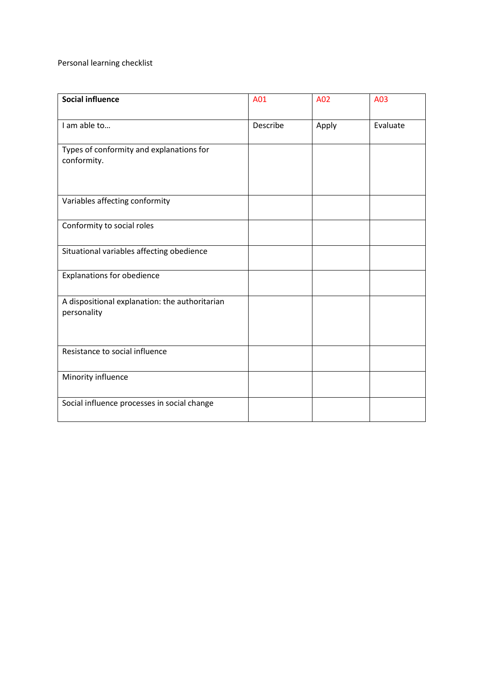Personal learning checklist

| <b>Social influence</b>                                       | A01      | A02   | A03      |
|---------------------------------------------------------------|----------|-------|----------|
| I am able to                                                  | Describe | Apply | Evaluate |
| Types of conformity and explanations for<br>conformity.       |          |       |          |
| Variables affecting conformity                                |          |       |          |
| Conformity to social roles                                    |          |       |          |
| Situational variables affecting obedience                     |          |       |          |
| <b>Explanations for obedience</b>                             |          |       |          |
| A dispositional explanation: the authoritarian<br>personality |          |       |          |
| Resistance to social influence                                |          |       |          |
| Minority influence                                            |          |       |          |
| Social influence processes in social change                   |          |       |          |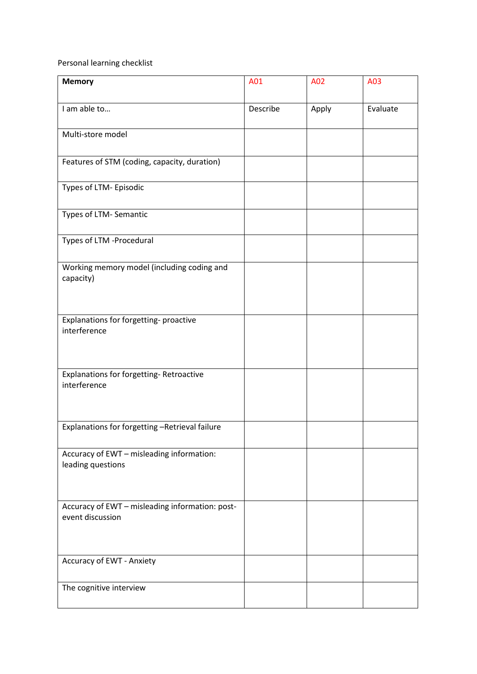Personal learning checklist

| <b>Memory</b>                                                       | A01      | A02   | A03      |
|---------------------------------------------------------------------|----------|-------|----------|
| I am able to                                                        | Describe | Apply | Evaluate |
| Multi-store model                                                   |          |       |          |
| Features of STM (coding, capacity, duration)                        |          |       |          |
| Types of LTM- Episodic                                              |          |       |          |
| Types of LTM- Semantic                                              |          |       |          |
| Types of LTM -Procedural                                            |          |       |          |
| Working memory model (including coding and<br>capacity)             |          |       |          |
| Explanations for forgetting-proactive<br>interference               |          |       |          |
| Explanations for forgetting-Retroactive<br>interference             |          |       |          |
| Explanations for forgetting -Retrieval failure                      |          |       |          |
| Accuracy of EWT - misleading information:<br>leading questions      |          |       |          |
| Accuracy of EWT - misleading information: post-<br>event discussion |          |       |          |
| Accuracy of EWT - Anxiety                                           |          |       |          |
| The cognitive interview                                             |          |       |          |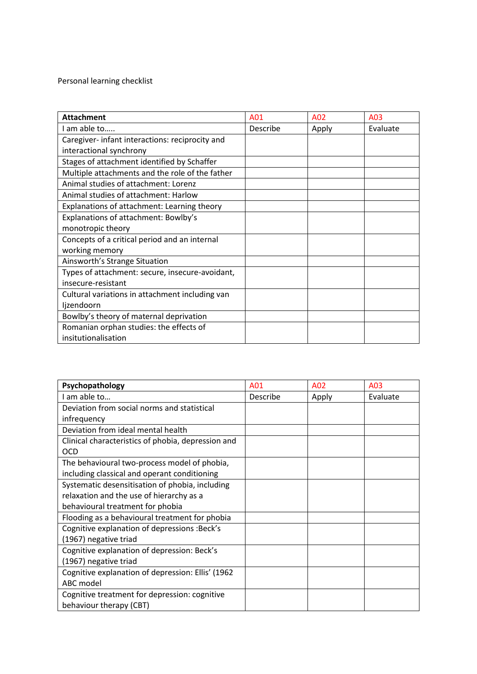Personal learning checklist

| <b>Attachment</b>                               | A <sub>01</sub> | A02   | A03      |
|-------------------------------------------------|-----------------|-------|----------|
| I am able to                                    | Describe        | Apply | Evaluate |
| Caregiver- infant interactions: reciprocity and |                 |       |          |
| interactional synchrony                         |                 |       |          |
| Stages of attachment identified by Schaffer     |                 |       |          |
| Multiple attachments and the role of the father |                 |       |          |
| Animal studies of attachment: Lorenz            |                 |       |          |
| Animal studies of attachment: Harlow            |                 |       |          |
| Explanations of attachment: Learning theory     |                 |       |          |
| Explanations of attachment: Bowlby's            |                 |       |          |
| monotropic theory                               |                 |       |          |
| Concepts of a critical period and an internal   |                 |       |          |
| working memory                                  |                 |       |          |
| Ainsworth's Strange Situation                   |                 |       |          |
| Types of attachment: secure, insecure-avoidant, |                 |       |          |
| insecure-resistant                              |                 |       |          |
| Cultural variations in attachment including van |                 |       |          |
| ljzendoorn                                      |                 |       |          |
| Bowlby's theory of maternal deprivation         |                 |       |          |
| Romanian orphan studies: the effects of         |                 |       |          |
| insitutionalisation                             |                 |       |          |

| Psychopathology                                    | A01      | A02   | A03      |
|----------------------------------------------------|----------|-------|----------|
| I am able to                                       | Describe | Apply | Evaluate |
| Deviation from social norms and statistical        |          |       |          |
| infrequency                                        |          |       |          |
| Deviation from ideal mental health                 |          |       |          |
| Clinical characteristics of phobia, depression and |          |       |          |
| <b>OCD</b>                                         |          |       |          |
| The behavioural two-process model of phobia,       |          |       |          |
| including classical and operant conditioning       |          |       |          |
| Systematic desensitisation of phobia, including    |          |       |          |
| relaxation and the use of hierarchy as a           |          |       |          |
| behavioural treatment for phobia                   |          |       |          |
| Flooding as a behavioural treatment for phobia     |          |       |          |
| Cognitive explanation of depressions : Beck's      |          |       |          |
| (1967) negative triad                              |          |       |          |
| Cognitive explanation of depression: Beck's        |          |       |          |
| (1967) negative triad                              |          |       |          |
| Cognitive explanation of depression: Ellis' (1962) |          |       |          |
| ABC model                                          |          |       |          |
| Cognitive treatment for depression: cognitive      |          |       |          |
| behaviour therapy (CBT)                            |          |       |          |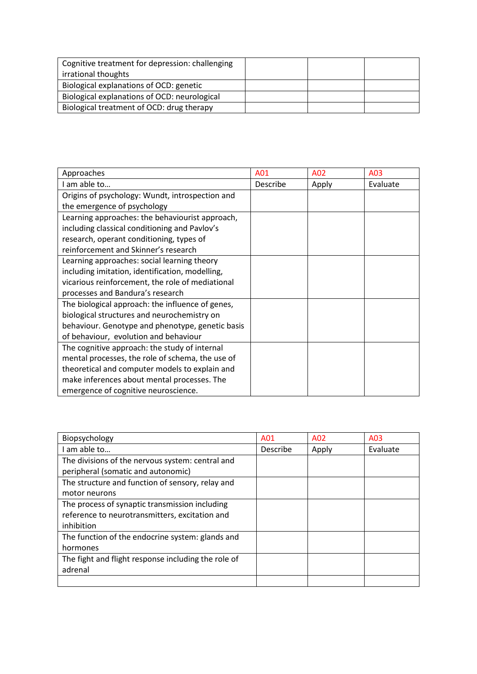| Cognitive treatment for depression: challenging |  |  |
|-------------------------------------------------|--|--|
| irrational thoughts                             |  |  |
| Biological explanations of OCD: genetic         |  |  |
| Biological explanations of OCD: neurological    |  |  |
| Biological treatment of OCD: drug therapy       |  |  |

| Approaches                                       | A01      | A02   | A03      |
|--------------------------------------------------|----------|-------|----------|
| I am able to                                     | Describe | Apply | Evaluate |
| Origins of psychology: Wundt, introspection and  |          |       |          |
| the emergence of psychology                      |          |       |          |
| Learning approaches: the behaviourist approach,  |          |       |          |
| including classical conditioning and Pavlov's    |          |       |          |
| research, operant conditioning, types of         |          |       |          |
| reinforcement and Skinner's research             |          |       |          |
| Learning approaches: social learning theory      |          |       |          |
| including imitation, identification, modelling,  |          |       |          |
| vicarious reinforcement, the role of mediational |          |       |          |
| processes and Bandura's research                 |          |       |          |
| The biological approach: the influence of genes, |          |       |          |
| biological structures and neurochemistry on      |          |       |          |
| behaviour. Genotype and phenotype, genetic basis |          |       |          |
| of behaviour, evolution and behaviour            |          |       |          |
| The cognitive approach: the study of internal    |          |       |          |
| mental processes, the role of schema, the use of |          |       |          |
| theoretical and computer models to explain and   |          |       |          |
| make inferences about mental processes. The      |          |       |          |
| emergence of cognitive neuroscience.             |          |       |          |

| Biopsychology                                       | A01             | A02   | A03      |
|-----------------------------------------------------|-----------------|-------|----------|
| I am able to                                        | <b>Describe</b> | Apply | Evaluate |
| The divisions of the nervous system: central and    |                 |       |          |
| peripheral (somatic and autonomic)                  |                 |       |          |
| The structure and function of sensory, relay and    |                 |       |          |
| motor neurons                                       |                 |       |          |
| The process of synaptic transmission including      |                 |       |          |
| reference to neurotransmitters, excitation and      |                 |       |          |
| inhibition                                          |                 |       |          |
| The function of the endocrine system: glands and    |                 |       |          |
| hormones                                            |                 |       |          |
| The fight and flight response including the role of |                 |       |          |
| adrenal                                             |                 |       |          |
|                                                     |                 |       |          |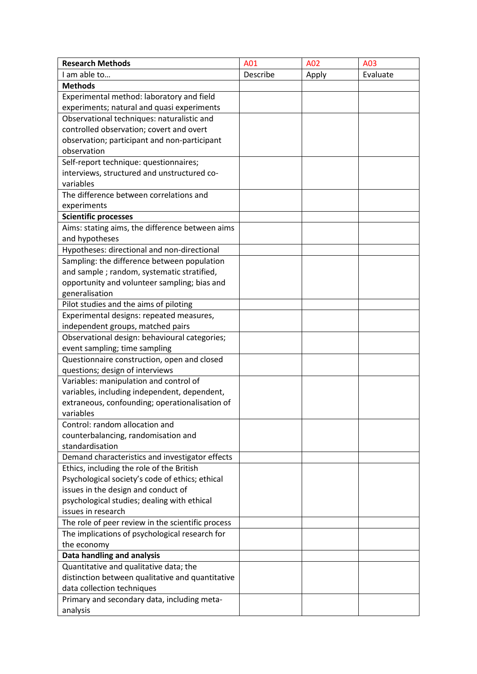| <b>Research Methods</b>                           | A01      | A02   | A03      |
|---------------------------------------------------|----------|-------|----------|
| I am able to                                      | Describe | Apply | Evaluate |
| <b>Methods</b>                                    |          |       |          |
| Experimental method: laboratory and field         |          |       |          |
| experiments; natural and quasi experiments        |          |       |          |
| Observational techniques: naturalistic and        |          |       |          |
| controlled observation; covert and overt          |          |       |          |
| observation; participant and non-participant      |          |       |          |
| observation                                       |          |       |          |
| Self-report technique: questionnaires;            |          |       |          |
| interviews, structured and unstructured co-       |          |       |          |
| variables                                         |          |       |          |
| The difference between correlations and           |          |       |          |
| experiments                                       |          |       |          |
| <b>Scientific processes</b>                       |          |       |          |
| Aims: stating aims, the difference between aims   |          |       |          |
| and hypotheses                                    |          |       |          |
| Hypotheses: directional and non-directional       |          |       |          |
| Sampling: the difference between population       |          |       |          |
| and sample; random, systematic stratified,        |          |       |          |
| opportunity and volunteer sampling; bias and      |          |       |          |
| generalisation                                    |          |       |          |
| Pilot studies and the aims of piloting            |          |       |          |
| Experimental designs: repeated measures,          |          |       |          |
| independent groups, matched pairs                 |          |       |          |
| Observational design: behavioural categories;     |          |       |          |
| event sampling; time sampling                     |          |       |          |
| Questionnaire construction, open and closed       |          |       |          |
| questions; design of interviews                   |          |       |          |
| Variables: manipulation and control of            |          |       |          |
| variables, including independent, dependent,      |          |       |          |
| extraneous, confounding; operationalisation of    |          |       |          |
| variables                                         |          |       |          |
| Control: random allocation and                    |          |       |          |
| counterbalancing, randomisation and               |          |       |          |
| standardisation                                   |          |       |          |
| Demand characteristics and investigator effects   |          |       |          |
| Ethics, including the role of the British         |          |       |          |
| Psychological society's code of ethics; ethical   |          |       |          |
| issues in the design and conduct of               |          |       |          |
| psychological studies; dealing with ethical       |          |       |          |
| issues in research                                |          |       |          |
| The role of peer review in the scientific process |          |       |          |
| The implications of psychological research for    |          |       |          |
| the economy                                       |          |       |          |
| Data handling and analysis                        |          |       |          |
| Quantitative and qualitative data; the            |          |       |          |
| distinction between qualitative and quantitative  |          |       |          |
| data collection techniques                        |          |       |          |
| Primary and secondary data, including meta-       |          |       |          |
| analysis                                          |          |       |          |